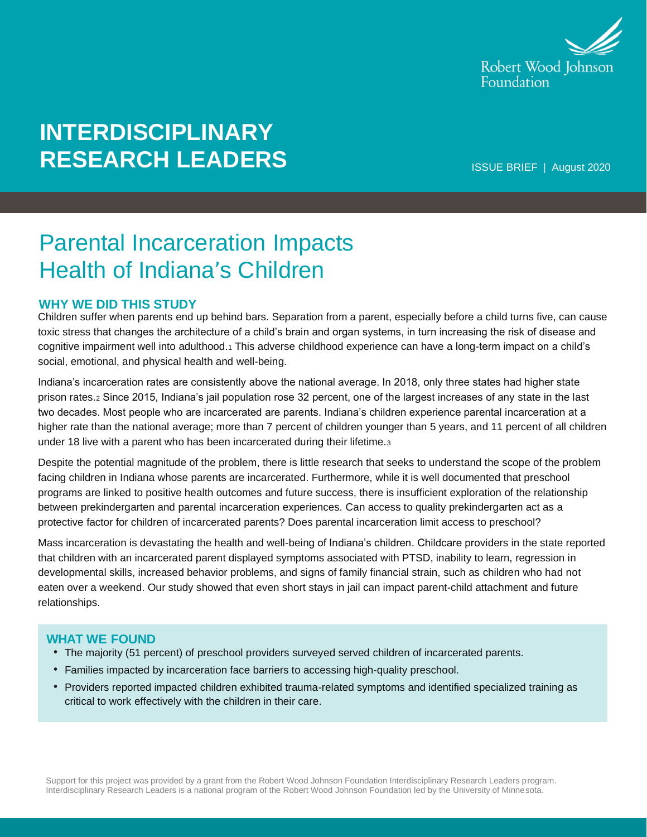

# **INTERDISCIPLINARY RESEARCH LEADERS**

ISSUE BRIEF | August 2020

## Parental Incarceration Impacts Health of Indiana's Children

#### **WHY WE DID THIS STUDY**

Children suffer when parents end up behind bars. Separation from a parent, especially before a child turns five, can cause toxic stress that changes the architecture of a child's brain and organ systems, in turn increasing the risk of disease and cognitive impairment well into adulthood.<sup>1</sup> This adverse childhood experience can have a long-term impact on a child's social, emotional, and physical health and well-being.

Indiana's incarceration rates are consistently above the national average. In 2018, only three states had higher state prison rates.<sup>2</sup> Since 2015, Indiana's jail population rose 32 percent, one of the largest increases of any state in the last two decades. Most people who are incarcerated are parents. Indiana's children experience parental incarceration at a higher rate than the national average; more than 7 percent of children younger than 5 years, and 11 percent of all children under 18 live with a parent who has been incarcerated during their lifetime.<sup>3</sup>

Despite the potential magnitude of the problem, there is little research that seeks to understand the scope of the problem facing children in Indiana whose parents are incarcerated. Furthermore, while it is well documented that preschool programs are linked to positive health outcomes and future success, there is insufficient exploration of the relationship between prekindergarten and parental incarceration experiences. Can access to quality prekindergarten act as a protective factor for children of incarcerated parents? Does parental incarceration limit access to preschool?

Mass incarceration is devastating the health and well-being of Indiana's children. Childcare providers in the state reported that children with an incarcerated parent displayed symptoms associated with PTSD, inability to learn, regression in developmental skills, increased behavior problems, and signs of family financial strain, such as children who had not eaten over a weekend. Our study showed that even short stays in jail can impact parent-child attachment and future relationships.

#### **WHAT WE FOUND**

- The majority (51 percent) of preschool providers surveyed served children of incarcerated parents.
- Families impacted by incarceration face barriers to accessing high-quality preschool.
- Providers reported impacted children exhibited trauma-related symptoms and identified specialized training as critical to work effectively with the children in their care.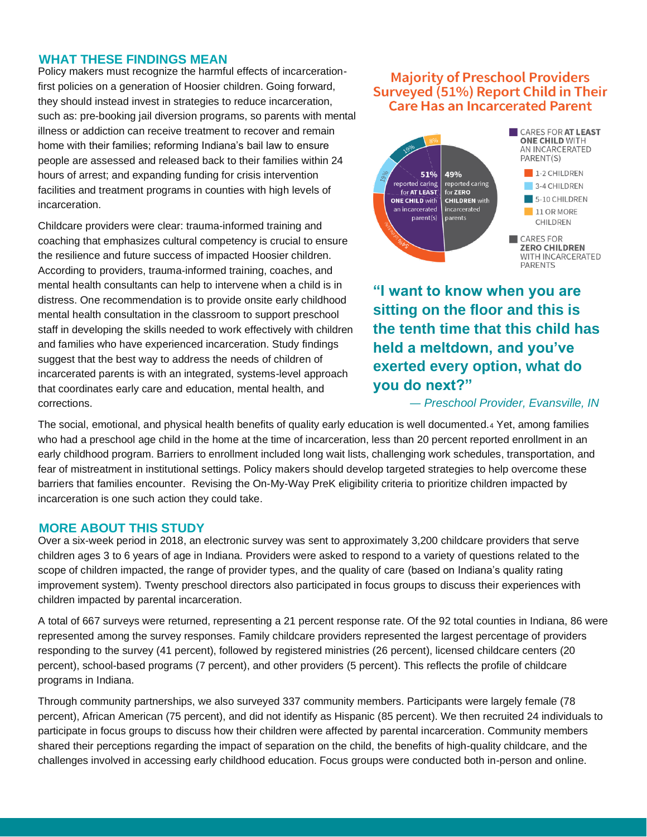#### **WHAT THESE FINDINGS MEAN**

Policy makers must recognize the harmful effects of incarcerationfirst policies on a generation of Hoosier children. Going forward, they should instead invest in strategies to reduce incarceration, such as: pre-booking jail diversion programs, so parents with mental illness or addiction can receive treatment to recover and remain home with their families; reforming Indiana's bail law to ensure people are assessed and released back to their families within 24 hours of arrest; and expanding funding for crisis intervention facilities and treatment programs in counties with high levels of incarceration.

Childcare providers were clear: trauma-informed training and coaching that emphasizes cultural competency is crucial to ensure the resilience and future success of impacted Hoosier children. According to providers, trauma-informed training, coaches, and mental health consultants can help to intervene when a child is in distress. One recommendation is to provide onsite early childhood mental health consultation in the classroom to support preschool staff in developing the skills needed to work effectively with children and families who have experienced incarceration. Study findings suggest that the best way to address the needs of children of incarcerated parents is with an integrated, systems-level approach that coordinates early care and education, mental health, and corrections.

#### **Majority of Preschool Providers** Surveyed (51%) Report Child in Their **Care Has an Incarcerated Parent**



**"I want to know when you are sitting on the floor and this is the tenth time that this child has held a meltdown, and you've exerted every option, what do you do next?"**

*— Preschool Provider, Evansville, IN*

The social, emotional, and physical health benefits of quality early education is well documented.<sup>4</sup> Yet, among families who had a preschool age child in the home at the time of incarceration, less than 20 percent reported enrollment in an early childhood program. Barriers to enrollment included long wait lists, challenging work schedules, transportation, and fear of mistreatment in institutional settings. Policy makers should develop targeted strategies to help overcome these barriers that families encounter. Revising the On-My-Way PreK eligibility criteria to prioritize children impacted by incarceration is one such action they could take.

#### **MORE ABOUT THIS STUDY**

Over a six-week period in 2018, an electronic survey was sent to approximately 3,200 childcare providers that serve children ages 3 to 6 years of age in Indiana. Providers were asked to respond to a variety of questions related to the scope of children impacted, the range of provider types, and the quality of care (based on Indiana's quality rating improvement system). Twenty preschool directors also participated in focus groups to discuss their experiences with children impacted by parental incarceration.

A total of 667 surveys were returned, representing a 21 percent response rate. Of the 92 total counties in Indiana, 86 were represented among the survey responses. Family childcare providers represented the largest percentage of providers responding to the survey (41 percent), followed by registered ministries (26 percent), licensed childcare centers (20 percent), school-based programs (7 percent), and other providers (5 percent). This reflects the profile of childcare programs in Indiana.

Through community partnerships, we also surveyed 337 community members. Participants were largely female (78 percent), African American (75 percent), and did not identify as Hispanic (85 percent). We then recruited 24 individuals to participate in focus groups to discuss how their children were affected by parental incarceration. Community members shared their perceptions regarding the impact of separation on the child, the benefits of high-quality childcare, and the challenges involved in accessing early childhood education. Focus groups were conducted both in-person and online.